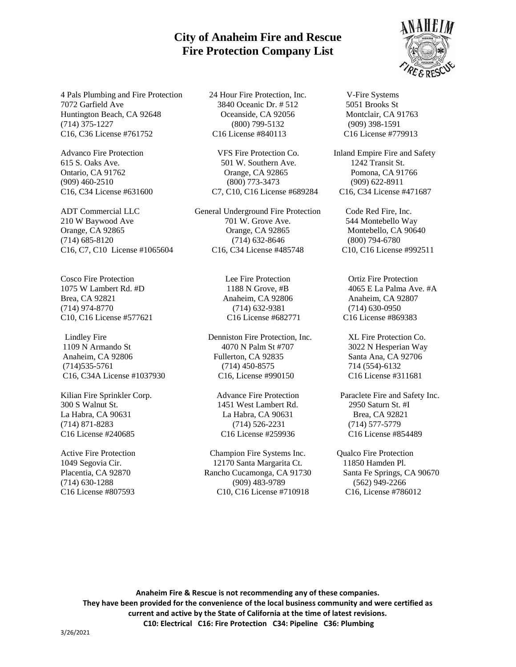## **City of Anaheim Fire and Rescue Fire Protection Company List**

4 Pals Plumbing and Fire Protection 24 Hour Fire Protection, Inc. V-Fire Systems 7072 Garfield Ave 3840 Oceanic Dr. # 512 5051 Brooks St Huntington Beach, CA 92648 Oceanside, CA 92056 Montclair, CA 91763 (714) 375-1227 (800) 799-5132 (909) 398-1591 C16, C36 License #761752 C16 License #840113 C16 License #779913

C16, C7, C10 License #1065604 C16, C34 License #485748 C10, C16 License #992511

Cosco Fire Protection Lee Fire Protection Ortiz Fire Protection 1075 W Lambert Rd. #D 1188 N Grove, #B 4065 E La Palma Ave. #A Brea, CA 92821 Anaheim, CA 92806 Anaheim, CA 92807 (714) 974-8770 (714) 632-9381 (714) 630-0950 C10, C16 License #577621 C16 License #682771 C16 License #869383

1109 N Armando St 4070 N Palm St #707 3022 N Hesperian Way Anaheim, CA 92806 Fullerton, CA 92835 Santa Ana, CA 92706 (714)535-5761 (714) 450-8575 714 (554)-6132 C16, C34A License #1037930 C16, License #990150 C16 License #311681

300 S Walnut St. 1451 West Lambert Rd. 2950 Saturn St. #I La Habra, CA 90631 La Habra, CA 90631 Brea, CA 92821 (714) 871-8283 (714) 526-2231 (714) 577-5779 C16 License #240685 C16 License #259936 C16 License #854489

Advanco Fire Protection VFS Fire Protection Co. Inland Empire Fire and Safety 615 S. Oaks Ave. 501 W. Southern Ave. 1242 Transit St. Ontario, CA 91762 Orange, CA 92865 Pomona, CA 91766 (909) 460-2510 (800) 773-3473 (909) 622-8911 C16, C34 License #631600 C7, C10, C16 License #689284 C16, C34 License #471687

ADT Commercial LLC General Underground Fire Protection Code Red Fire, Inc. 210 W Baywood Ave 701 W. Grove Ave. 544 Montebello Way Orange, CA 92865 Orange, CA 92865 Montebello, CA 90640 (714) 685-8120 (714) 632-8646 (800) 794-6780

Lindley Fire Denniston Fire Protection, Inc. XL Fire Protection Co.

Active Fire Protection Champion Fire Systems Inc. Qualco Fire Protection 1049 Segovia Cir. 12170 Santa Margarita Ct. 11850 Hamden Pl. Placentia, CA 92870 Rancho Cucamonga, CA 91730 Santa Fe Springs, CA 90670 (714) 630-1288 (909) 483-9789 (562) 949-2266 C16 License #807593 C10, C16 License #710918 C16, License #786012



Kilian Fire Sprinkler Corp. Advance Fire Protection Paraclete Fire and Safety Inc.

**Anaheim Fire & Rescue is not recommending any of these companies. They have been provided for the convenience of the local business community and were certified as current and active by the State of California at the time of latest revisions. C10: Electrical C16: Fire Protection C34: Pipeline C36: Plumbing**